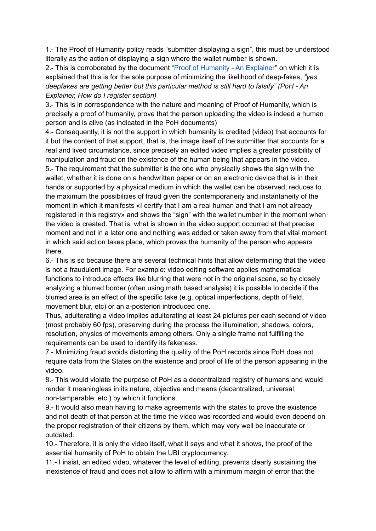1.- The Proof of Humanity policy reads "submitter displaying a sign", this must be understood literally as the action of displaying a sign where the wallet number is shown.

2.- This is corroborated by the document "Proof of [Humanity](https://blog.kleros.io/proof-of-humanity-an-explainer/) - An Explainer" on which it is explained that this is for the sole purpose of minimizing the likelihood of deep-fakes, *"yes deepfakes are getting better but this particular method is still hard to falsify" (PoH - An Explainer, How do I register section)*

3.- This is in correspondence with the nature and meaning of Proof of Humanity, which is precisely a proof of humanity, prove that the person uploading the video is indeed a human person and is alive (as indicated in the PoH documents)

4.- Consequently, it is not the support in which humanity is credited (video) that accounts for it but the content of that support, that is, the image itself of the submitter that accounts for a real and lived circumstance, since precisely an edited video implies a greater possibility of manipulation and fraud on the existence of the human being that appears in the video. 5.- The requirement that the submitter is the one who physically shows the sign with the wallet, whether it is done on a handwritten paper or on an electronic device that is in their hands or supported by a physical medium in which the wallet can be observed, reduces to the maximum the possibilities of fraud given the contemporaneity and instantaneity of the moment in which it manifests «I certify that I am a real human and that I am not already registered in this registry» and shows the "sign" with the wallet number in the moment when the video is created. That is, what is shown in the video support occurred at that precise moment and not in a later one and nothing was added or taken away from that vital moment in which said action takes place, which proves the humanity of the person who appears there.

6.- This is so because there are several technical hints that allow determining that the video is not a fraudulent image. For example: video editing software applies mathematical functions to introduce effects like blurring that were not in the original scene, so by closely analyzing a blurred border (often using math based analysis) it is possible to decide if the blurred area is an effect of the specific take (e.g. optical imperfections, depth of field, movement blur, etc) or an a-posteriori introduced one.

Thus, adulterating a video implies adulterating at least 24 pictures per each second of video (most probably 60 fps), preserving during the process the illumination, shadows, colors, resolution, physics of movements among others. Only a single frame not fulfilling the requirements can be used to identify its fakeness.

7.- Minimizing fraud avoids distorting the quality of the PoH records since PoH does not require data from the States on the existence and proof of life of the person appearing in the video.

8.- This would violate the purpose of PoH as a decentralized registry of humans and would render it meaningless in its nature, objective and means (decentralized, universal, non-tamperable, etc.) by which it functions.

9.- It would also mean having to make agreements with the states to prove the existence and not death of that person at the time the video was recorded and would even depend on the proper registration of their citizens by them, which may very well be inaccurate or outdated.

10.- Therefore, it is only the video itself, what it says and what it shows, the proof of the essential humanity of PoH to obtain the UBI cryptocurrency.

11.- I insist, an edited video, whatever the level of editing, prevents clearly sustaining the inexistence of fraud and does not allow to affirm with a minimum margin of error that the